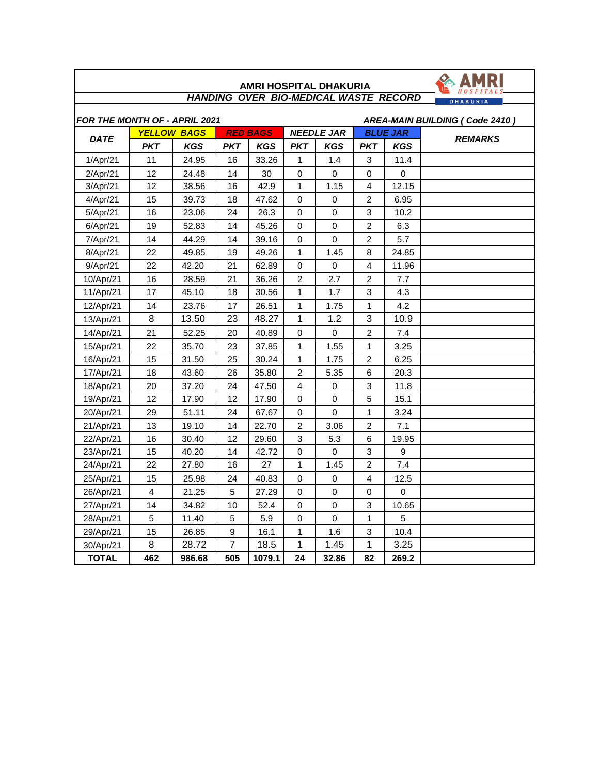|                                              |                         |                    |                |                 |                            |                   |                |                 | <b>DHAKURIA</b>                |
|----------------------------------------------|-------------------------|--------------------|----------------|-----------------|----------------------------|-------------------|----------------|-----------------|--------------------------------|
| FOR THE MONTH OF - APRIL 2021<br><b>DATE</b> |                         |                    |                |                 |                            |                   |                |                 | AREA-MAIN BUILDING (Code 2410) |
|                                              |                         | <b>YELLOW BAGS</b> |                | <b>RED BAGS</b> |                            | <b>NEEDLE JAR</b> |                | <b>BLUE JAR</b> | <b>REMARKS</b>                 |
|                                              | <b>PKT</b>              | <b>KGS</b>         | <b>PKT</b>     | <b>KGS</b>      | <b>PKT</b><br>$\mathbf{1}$ | <b>KGS</b>        | <b>PKT</b>     | <b>KGS</b>      |                                |
| 1/Apr/21                                     | 11                      | 24.95              | 16             | 33.26           |                            | 1.4               | 3              | 11.4            |                                |
| 2/Apr/21                                     | 12                      | 24.48              | 14             | 30              | $\Omega$<br>$\mathbf{1}$   | 0                 | $\Omega$<br>4  | 0               |                                |
| 3/Apr/21                                     | 12                      | 38.56              | 16             | 42.9            |                            | 1.15              |                | 12.15           |                                |
| 4/Apr/21                                     | 15                      | 39.73              | 18             | 47.62           | $\Omega$                   | 0                 | 2              | 6.95            |                                |
| 5/Apr/21                                     | 16                      | 23.06              | 24             | 26.3            | 0                          | 0                 | 3              | 10.2            |                                |
| 6/Apr/21                                     | 19                      | 52.83              | 14             | 45.26           | $\Omega$                   | $\Omega$          | $\overline{c}$ | 6.3             |                                |
| 7/Apr/21                                     | 14                      | 44.29              | 14             | 39.16           | 0                          | $\mathbf 0$       | $\overline{2}$ | 5.7             |                                |
| 8/Apr/21                                     | 22                      | 49.85              | 19             | 49.26           | $\mathbf{1}$               | 1.45              | 8              | 24.85           |                                |
| 9/Apr/21                                     | 22                      | 42.20              | 21             | 62.89           | $\Omega$                   | 0                 | 4              | 11.96           |                                |
| 10/Apr/21                                    | 16                      | 28.59              | 21             | 36.26           | $\overline{2}$             | 2.7               | 2              | 7.7             |                                |
| 11/Apr/21                                    | 17                      | 45.10              | 18             | 30.56           | $\mathbf{1}$               | 1.7               | 3              | 4.3             |                                |
| 12/Apr/21                                    | 14                      | 23.76              | 17             | 26.51           | $\mathbf{1}$               | 1.75              | $\mathbf{1}$   | 4.2             |                                |
| 13/Apr/21                                    | 8                       | 13.50              | 23             | 48.27           | 1                          | 1.2               | 3              | 10.9            |                                |
| 14/Apr/21                                    | 21                      | 52.25              | 20             | 40.89           | 0                          | 0                 | $\overline{c}$ | 7.4             |                                |
| 15/Apr/21                                    | 22                      | 35.70              | 23             | 37.85           | $\mathbf{1}$               | 1.55              | $\mathbf{1}$   | 3.25            |                                |
| 16/Apr/21                                    | 15                      | 31.50              | 25             | 30.24           | $\mathbf{1}$               | 1.75              | $\overline{c}$ | 6.25            |                                |
| 17/Apr/21                                    | 18                      | 43.60              | 26             | 35.80           | $\overline{c}$             | 5.35              | 6              | 20.3            |                                |
| 18/Apr/21                                    | 20                      | 37.20              | 24             | 47.50           | 4                          | 0                 | 3              | 11.8            |                                |
| 19/Apr/21                                    | 12                      | 17.90              | 12             | 17.90           | 0                          | $\mathbf 0$       | 5              | 15.1            |                                |
| 20/Apr/21                                    | 29                      | 51.11              | 24             | 67.67           | 0                          | $\Omega$          | 1              | 3.24            |                                |
| 21/Apr/21                                    | 13                      | 19.10              | 14             | 22.70           | $\overline{c}$             | 3.06              | $\overline{2}$ | 7.1             |                                |
| 22/Apr/21                                    | 16                      | 30.40              | 12             | 29.60           | 3                          | 5.3               | 6              | 19.95           |                                |
| 23/Apr/21                                    | 15                      | 40.20              | 14             | 42.72           | 0                          | 0                 | 3              | 9               |                                |
| 24/Apr/21                                    | 22                      | 27.80              | 16             | 27              | $\mathbf{1}$               | 1.45              | 2              | 7.4             |                                |
| 25/Apr/21                                    | 15                      | 25.98              | 24             | 40.83           | 0                          | 0                 | 4              | 12.5            |                                |
| 26/Apr/21                                    | $\overline{\mathbf{4}}$ | 21.25              | 5              | 27.29           | 0                          | 0                 | $\mathbf 0$    | $\mathbf 0$     |                                |
| 27/Apr/21                                    | 14                      | 34.82              | 10             | 52.4            | 0                          | $\mathbf 0$       | 3              | 10.65           |                                |
| 28/Apr/21                                    | 5                       | 11.40              | 5              | 5.9             | 0                          | $\mathsf 0$       | 1              | 5               |                                |
| 29/Apr/21                                    | 15                      | 26.85              | 9              | 16.1            | $\mathbf{1}$               | 1.6               | 3              | 10.4            |                                |
| 30/Apr/21                                    | 8                       | 28.72              | $\overline{7}$ | 18.5            | 1                          | 1.45              | 1              | 3.25            |                                |
| <b>TOTAL</b>                                 | 462                     | 986.68             | 505            | 1079.1          | 24                         | 32.86             | 82             | 269.2           |                                |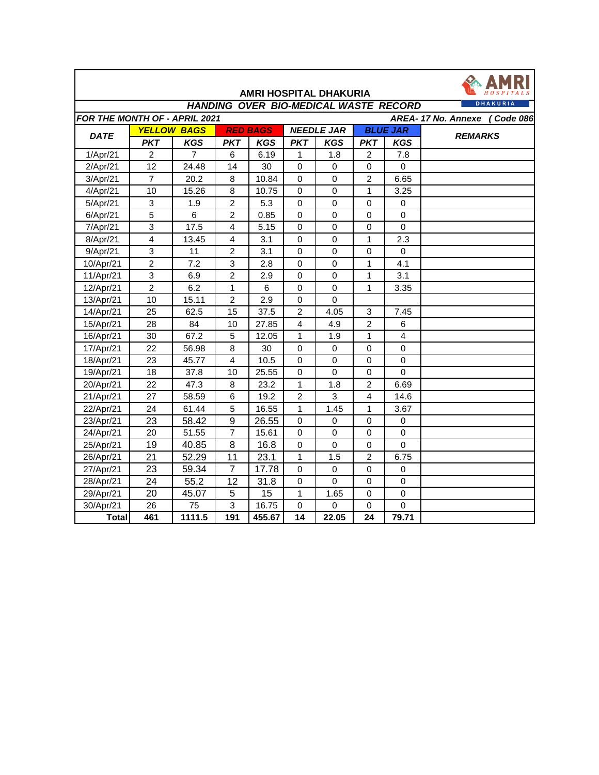|                               |                 |                    |                  |                 |                   | <b>AMRI HOSPITAL DHAKURIA</b>                |                 |                |                              |
|-------------------------------|-----------------|--------------------|------------------|-----------------|-------------------|----------------------------------------------|-----------------|----------------|------------------------------|
|                               |                 |                    |                  |                 |                   | <b>HANDING OVER BIO-MEDICAL WASTE RECORD</b> |                 |                | <b>DHAKURIA</b>              |
| FOR THE MONTH OF - APRIL 2021 |                 |                    |                  |                 |                   |                                              |                 |                | AREA-17 No. Annexe (Code 086 |
|                               |                 | <b>YELLOW BAGS</b> |                  | <b>RED BAGS</b> | <b>NEEDLE JAR</b> |                                              | <b>BLUE JAR</b> |                |                              |
| <b>DATE</b>                   | <b>PKT</b>      | <b>KGS</b>         | PKT              | <b>KGS</b>      | <b>PKT</b>        | <b>KGS</b>                                   | <b>PKT</b>      | <b>KGS</b>     | <b>REMARKS</b>               |
| 1/Apr/21                      | $\overline{2}$  | $\overline{7}$     | 6                | 6.19            | 1                 | 1.8                                          | $\overline{2}$  | 7.8            |                              |
| 2/Apr/21                      | 12              | 24.48              | 14               | 30              | $\mathbf 0$       | $\mathbf 0$                                  | $\mathbf 0$     | $\mathbf 0$    |                              |
| 3/Apr/21                      | $\overline{7}$  | 20.2               | 8                | 10.84           | $\mathbf 0$       | 0                                            | $\overline{c}$  | 6.65           |                              |
| 4/Apr/21                      | 10              | 15.26              | 8                | 10.75           | $\mathbf 0$       | $\mathbf 0$                                  | $\mathbf{1}$    | 3.25           |                              |
| 5/Apr/21                      | 3               | 1.9                | $\overline{2}$   | 5.3             | $\mathbf 0$       | $\mathbf 0$                                  | $\mathbf 0$     | $\mathbf 0$    |                              |
| 6/Apr/21                      | 5               | 6                  | $\overline{c}$   | 0.85            | 0                 | $\mathbf 0$                                  | $\mathbf 0$     | $\mathbf 0$    |                              |
| 7/Apr/21                      | 3               | 17.5               | 4                | 5.15            | $\mathbf 0$       | $\mathbf 0$                                  | $\mathbf 0$     | $\mathbf 0$    |                              |
| 8/Apr/21                      | 4               | 13.45              | $\overline{4}$   | 3.1             | $\mathbf 0$       | $\mathbf 0$                                  | $\mathbf{1}$    | 2.3            |                              |
| 9/Apr/21                      | $\mathsf 3$     | 11                 | 2                | 3.1             | 0                 | 0                                            | 0               | 0              |                              |
| 10/Apr/21                     | $\overline{2}$  | 7.2                | 3                | 2.8             | 0                 | 0                                            | 1               | 4.1            |                              |
| 11/Apr/21                     | 3               | 6.9                | $\overline{c}$   | 2.9             | $\mathbf 0$       | $\Omega$                                     | $\mathbf{1}$    | 3.1            |                              |
| 12/Apr/21                     | $\overline{2}$  | 6.2                | 1                | 6               | $\mathbf 0$       | 0                                            | 1               | 3.35           |                              |
| 13/Apr/21                     | 10              | 15.11              | $\overline{c}$   | 2.9             | $\mathbf 0$       | $\mathbf 0$                                  |                 |                |                              |
| 14/Apr/21                     | 25              | 62.5               | 15               | 37.5            | $\overline{c}$    | 4.05                                         | $\mathsf 3$     | 7.45           |                              |
| 15/Apr/21                     | 28              | 84                 | 10               | 27.85           | $\overline{4}$    | 4.9                                          | $\overline{2}$  | 6              |                              |
| 16/Apr/21                     | 30              | 67.2               | 5                | 12.05           | $\mathbf{1}$      | 1.9                                          | $\mathbf{1}$    | $\overline{4}$ |                              |
| 17/Apr/21                     | 22              | 56.98              | 8                | 30              | $\mathbf 0$       | 0                                            | $\mathbf 0$     | $\mathbf 0$    |                              |
| 18/Apr/21                     | 23              | 45.77              | $\overline{4}$   | 10.5            | $\mathbf 0$       | $\mathbf 0$                                  | $\mathbf 0$     | $\mathbf 0$    |                              |
| 19/Apr/21                     | 18              | 37.8               | 10               | 25.55           | $\mathbf 0$       | $\mathbf 0$                                  | $\mathbf 0$     | $\mathbf 0$    |                              |
| 20/Apr/21                     | 22              | 47.3               | 8                | 23.2            | $\mathbf{1}$      | 1.8                                          | $\overline{2}$  | 6.69           |                              |
| 21/Apr/21                     | 27              | 58.59              | 6                | 19.2            | $\overline{2}$    | 3                                            | $\overline{4}$  | 14.6           |                              |
| 22/Apr/21                     | 24              | 61.44              | 5                | 16.55           | $\mathbf{1}$      | 1.45                                         | 1               | 3.67           |                              |
| 23/Apr/21                     | $\overline{23}$ | 58.42              | $\boldsymbol{9}$ | 26.55           | $\mathbf 0$       | $\mathbf 0$                                  | $\mathbf 0$     | $\mathbf 0$    |                              |
| 24/Apr/21                     | 20              | 51.55              | $\overline{7}$   | 15.61           | $\mathbf 0$       | $\mathbf 0$                                  | $\mathbf 0$     | $\mathbf 0$    |                              |
| 25/Apr/21                     | $\overline{19}$ | 40.85              | $\overline{8}$   | 16.8            | $\mathbf 0$       | $\mathbf 0$                                  | $\mathbf 0$     | $\overline{0}$ |                              |
| 26/Apr/21                     | 21              | 52.29              | 11               | 23.1            | $\mathbf{1}$      | 1.5                                          | $\overline{2}$  | 6.75           |                              |
| 27/Apr/21                     | 23              | 59.34              | $\overline{7}$   | 17.78           | $\mathbf 0$       | $\mathbf 0$                                  | $\pmb{0}$       | $\mathbf 0$    |                              |
| 28/Apr/21                     | 24              | 55.2               | 12               | 31.8            | $\mathbf 0$       | $\mathbf 0$                                  | $\mathbf 0$     | $\mathbf 0$    |                              |
| 29/Apr/21                     | 20              | 45.07              | 5                | 15              | 1                 | 1.65                                         | $\mathbf 0$     | $\mathbf 0$    |                              |
| 30/Apr/21                     | 26              | 75                 | 3                | 16.75           | $\mathbf 0$       | $\mathbf 0$                                  | 0               | $\mathbf 0$    |                              |
| <b>Total</b>                  | 461             | 1111.5             | 191              | 455.67          | 14                | 22.05                                        | 24              | 79.71          |                              |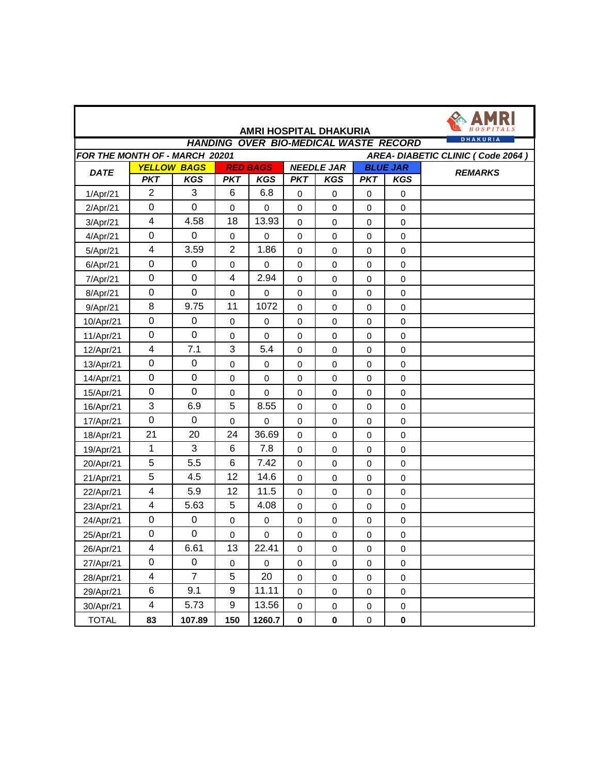|                                                                     |                         |                    |                         |                                      |                     | AMRI HOSPITAL DHAKURIA<br><b>HANDING OVER BIO-MEDICAL WASTE RECORD</b> |              |                 | <b>DHAKURIA</b> |  |  |
|---------------------------------------------------------------------|-------------------------|--------------------|-------------------------|--------------------------------------|---------------------|------------------------------------------------------------------------|--------------|-----------------|-----------------|--|--|
| FOR THE MONTH OF - MARCH 20201<br>AREA- DIABETIC CLINIC (Code 2064) |                         |                    |                         |                                      |                     |                                                                        |              |                 |                 |  |  |
| <b>DATE</b>                                                         |                         | <b>YELLOW BAGS</b> |                         | <b>RED BAGS</b><br><b>NEEDLE JAR</b> |                     |                                                                        |              | <b>BLUE JAR</b> | <b>REMARKS</b>  |  |  |
|                                                                     | <b>PKT</b>              | <b>KGS</b>         | <b>PKT</b>              | <b>KGS</b>                           | <b>PKT</b>          | <b>KGS</b>                                                             | <b>PKT</b>   | <b>KGS</b>      |                 |  |  |
| 1/Apr/21                                                            | $\overline{2}$          | 3                  | $6\phantom{1}6$         | 6.8                                  | $\mathbf 0$         | 0                                                                      | $\mathbf 0$  | $\pmb{0}$       |                 |  |  |
| 2/Apr/21                                                            | $\boldsymbol{0}$        | $\mathbf 0$        | $\mathbf 0$             | 0                                    | 0                   | 0                                                                      | 0            | 0               |                 |  |  |
| 3/Apr/21                                                            | 4                       | 4.58               | 18                      | 13.93                                | $\mathbf 0$         | 0                                                                      | $\mathbf 0$  | $\pmb{0}$       |                 |  |  |
| 4/Apr/21                                                            | $\boldsymbol{0}$        | 0                  | $\mathbf 0$             | 0                                    | 0                   | 0                                                                      | 0            | $\mathsf 0$     |                 |  |  |
| 5/Apr/21                                                            | 4                       | 3.59               | $\overline{2}$          | 1.86                                 | 0                   | 0                                                                      | 0            | $\pmb{0}$       |                 |  |  |
| 6/Apr/21                                                            | $\mathbf 0$             | 0                  | $\mathbf 0$             | $\mathbf 0$                          | $\mathbf 0$         | 0                                                                      | $\mathbf 0$  | $\pmb{0}$       |                 |  |  |
| 7/Apr/21                                                            | $\mathsf 0$             | $\pmb{0}$          | $\overline{\mathbf{4}}$ | 2.94                                 | 0                   | 0                                                                      | 0            | $\mathsf 0$     |                 |  |  |
| 8/Apr/21                                                            | $\pmb{0}$               | $\mathbf 0$        | $\mathbf 0$             | $\mathbf 0$                          | $\mathbf 0$         | 0                                                                      | $\mathbf 0$  | $\mathbf 0$     |                 |  |  |
| 9/Apr/21                                                            | 8                       | 9.75               | 11                      | 1072                                 | 0                   | 0                                                                      | $\mathbf 0$  | $\pmb{0}$       |                 |  |  |
| 10/Apr/21                                                           | $\pmb{0}$               | $\pmb{0}$          | $\pmb{0}$               | $\mathsf 0$                          | $\mathsf{O}\xspace$ | 0                                                                      | $\pmb{0}$    | $\pmb{0}$       |                 |  |  |
| 11/Apr/21                                                           | $\boldsymbol{0}$        | $\mathbf 0$        | $\mathbf 0$             | $\mathbf 0$                          | 0                   | 0                                                                      | $\mathbf 0$  | $\pmb{0}$       |                 |  |  |
| 12/Apr/21                                                           | 4                       | 7.1                | 3                       | 5.4                                  | $\mathbf 0$         | 0                                                                      | 0            | 0               |                 |  |  |
| 13/Apr/21                                                           | $\boldsymbol{0}$        | $\pmb{0}$          | $\mathbf 0$             | $\mathbf 0$                          | $\mathbf 0$         | 0                                                                      | $\mathbf 0$  | $\mathsf 0$     |                 |  |  |
| 14/Apr/21                                                           | $\pmb{0}$               | $\pmb{0}$          | $\mathbf 0$             | $\mathbf 0$                          | 0                   | 0                                                                      | $\pmb{0}$    | $\mathsf 0$     |                 |  |  |
| 15/Apr/21                                                           | $\pmb{0}$               | $\mathbf 0$        | $\pmb{0}$               | $\mathbf 0$                          | $\mathbf 0$         | 0                                                                      | $\mathbf 0$  | $\pmb{0}$       |                 |  |  |
| 16/Apr/21                                                           | 3                       | 6.9                | 5                       | 8.55                                 | $\mathbf 0$         | 0                                                                      | $\mathbf 0$  | $\pmb{0}$       |                 |  |  |
| 17/Apr/21                                                           | 0                       | 0                  | $\mathbf 0$             | $\mathbf 0$                          | $\mathsf{O}\xspace$ | 0                                                                      | $\pmb{0}$    | $\mathsf 0$     |                 |  |  |
| 18/Apr/21                                                           | 21                      | 20                 | 24                      | 36.69                                | 0                   | 0                                                                      | $\mathbf 0$  | $\pmb{0}$       |                 |  |  |
| 19/Apr/21                                                           | $\mathbf{1}$            | 3                  | $\,6$                   | 7.8                                  | $\mathsf{O}\xspace$ | 0                                                                      | $\pmb{0}$    | $\mathsf 0$     |                 |  |  |
| 20/Apr/21                                                           | 5                       | 5.5                | $\,6$                   | 7.42                                 | $\mathbf 0$         | 0                                                                      | $\mathbf 0$  | $\mathbf 0$     |                 |  |  |
| 21/Apr/21                                                           | 5                       | 4.5                | 12                      | 14.6                                 | 0                   | 0                                                                      | $\pmb{0}$    | 0               |                 |  |  |
| 22/Apr/21                                                           | 4                       | 5.9                | 12                      | 11.5                                 | $\mathbf 0$         | 0                                                                      | $\mathbf 0$  | $\pmb{0}$       |                 |  |  |
| 23/Apr/21                                                           | 4                       | 5.63               | 5                       | 4.08                                 | $\mathbf 0$         | 0                                                                      | 0            | $\mathsf 0$     |                 |  |  |
| 24/Apr/21                                                           | $\pmb{0}$               | $\pmb{0}$          | $\pmb{0}$               | $\mathbf 0$                          | 0                   | 0                                                                      | 0            | $\pmb{0}$       |                 |  |  |
| 25/Apr/21                                                           | $\mathsf 0$             | 0                  | 0                       | 0                                    | 0                   | 0                                                                      | 0            | $\pmb{0}$       |                 |  |  |
| 26/Apr/21                                                           | 4                       | 6.61               | 13                      | 22.41                                | 0                   | 0                                                                      | 0            | 0               |                 |  |  |
| 27/Apr/21                                                           | $\pmb{0}$               | 0                  | $\mathsf 0$             | $\mathsf 0$                          | $\mathbf 0$         | 0                                                                      | $\mathbf 0$  | $\mathbf 0$     |                 |  |  |
| 28/Apr/21                                                           | $\overline{\mathbf{4}}$ | $\overline{7}$     | $5\phantom{.0}$         | 20                                   | $\pmb{0}$           | $\boldsymbol{0}$                                                       | $\pmb{0}$    | $\pmb{0}$       |                 |  |  |
| 29/Apr/21                                                           | 6                       | 9.1                | 9                       | 11.11                                | $\mathbf 0$         | $\boldsymbol{0}$                                                       | $\mathsf{O}$ | $\mathbf 0$     |                 |  |  |
| 30/Apr/21                                                           | 4                       | 5.73               | 9                       | 13.56                                | $\mathsf{O}\xspace$ | $\boldsymbol{0}$                                                       | $\mathsf{O}$ | $\pmb{0}$       |                 |  |  |